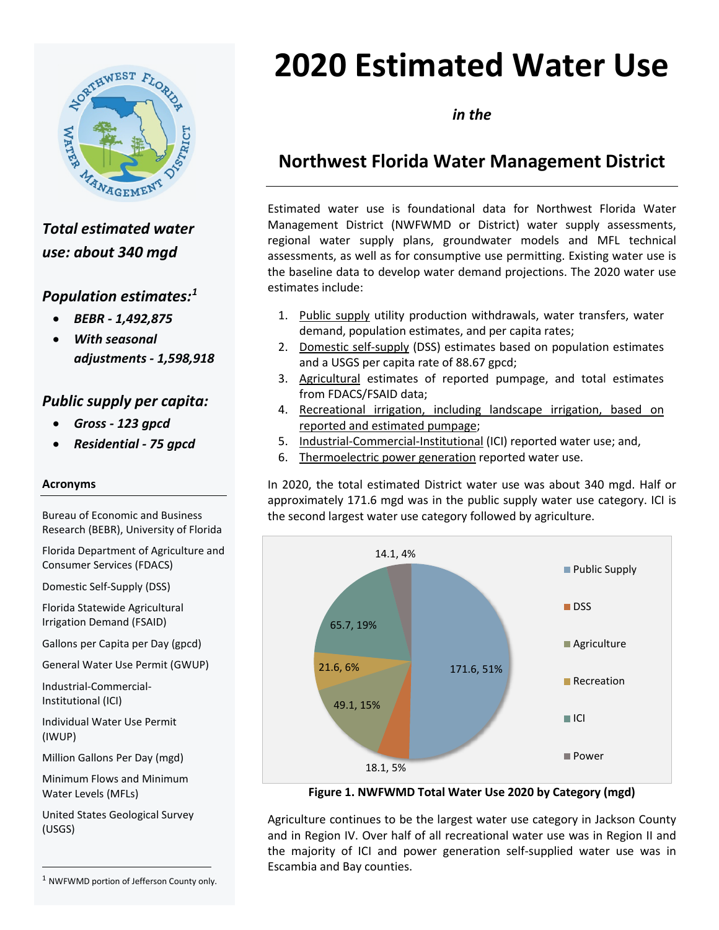

*Total estimated water use: about 340 mgd*

## *Population estimates: [1](#page-0-0)*

- *BEBR - 1,492,875*
- *With seasonal adjustments - 1,598,918*

## *Public supply per capita:*

- *Gross - 123 gpcd*
- *Residential - 75 gpcd*

### **Acronyms**

Bureau of Economic and Business Research (BEBR), University of Florida

Florida Department of Agriculture and Consumer Services (FDACS)

Domestic Self-Supply (DSS)

Florida Statewide Agricultural Irrigation Demand (FSAID)

Gallons per Capita per Day (gpcd)

General Water Use Permit (GWUP)

Industrial-Commercial-Institutional (ICI)

Individual Water Use Permit (IWUP)

Million Gallons Per Day (mgd)

Minimum Flows and Minimum Water Levels (MFLs)

United States Geological Survey (USGS)

**2020 Estimated Water Use**

*in the*

# **Northwest Florida Water Management District**

Estimated water use is foundational data for Northwest Florida Water Management District (NWFWMD or District) water supply assessments, regional water supply plans, groundwater models and MFL technical assessments, as well as for consumptive use permitting. Existing water use is the baseline data to develop water demand projections. The 2020 water use estimates include:

- 1. Public supply utility production withdrawals, water transfers, water demand, population estimates, and per capita rates;
- 2. Domestic self-supply (DSS) estimates based on population estimates and a USGS per capita rate of 88.67 gpcd;
- 3. Agricultural estimates of reported pumpage, and total estimates from FDACS/FSAID data;
- 4. Recreational irrigation, including landscape irrigation, based on reported and estimated pumpage;
- 5. Industrial-Commercial-Institutional (ICI) reported water use; and,
- 6. Thermoelectric power generation reported water use.

In 2020, the total estimated District water use was about 340 mgd. Half or approximately 171.6 mgd was in the public supply water use category. ICI is the second largest water use category followed by agriculture.



**Figure 1. NWFWMD Total Water Use 2020 by Category (mgd)**

Agriculture continues to be the largest water use category in Jackson County and in Region IV. Over half of all recreational water use was in Region II and the majority of ICI and power generation self-supplied water use was in Escambia and Bay counties.

<span id="page-0-0"></span><sup>&</sup>lt;sup>1</sup> NWFWMD portion of Jefferson County only.